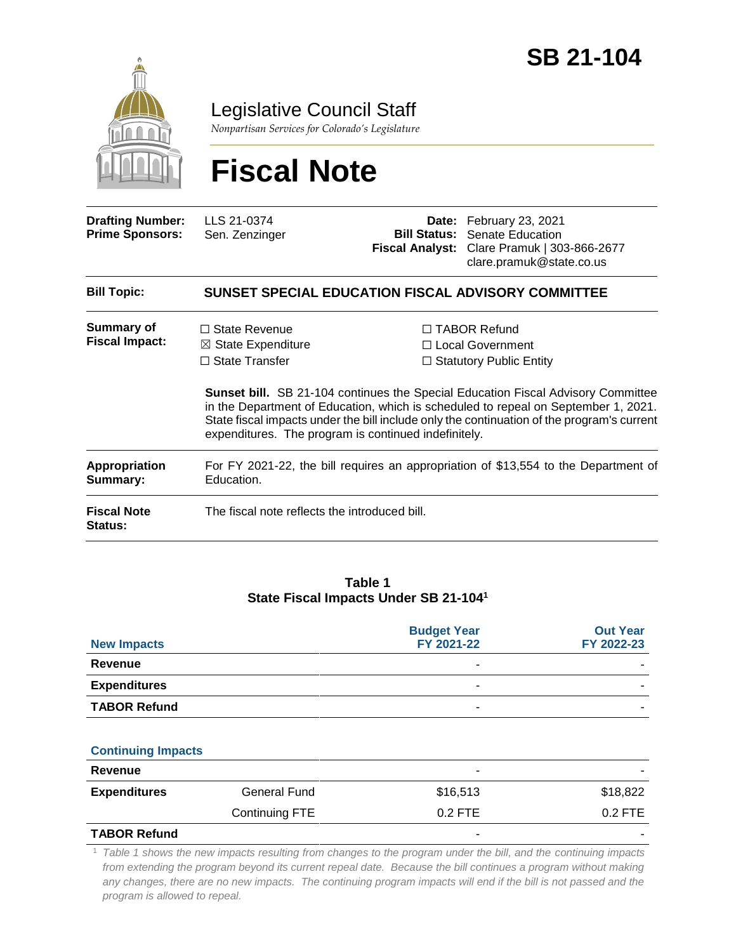

Legislative Council Staff

*Nonpartisan Services for Colorado's Legislature*

# **Fiscal Note**

| <b>Drafting Number:</b><br><b>Prime Sponsors:</b> | LLS 21-0374<br>Sen. Zenzinger                                                                                                                                                                                                                                                                                                       |  | Date: February 23, 2021<br><b>Bill Status: Senate Education</b><br>Fiscal Analyst: Clare Pramuk   303-866-2677<br>clare.pramuk@state.co.us |  |  |  |
|---------------------------------------------------|-------------------------------------------------------------------------------------------------------------------------------------------------------------------------------------------------------------------------------------------------------------------------------------------------------------------------------------|--|--------------------------------------------------------------------------------------------------------------------------------------------|--|--|--|
| <b>Bill Topic:</b>                                | SUNSET SPECIAL EDUCATION FISCAL ADVISORY COMMITTEE                                                                                                                                                                                                                                                                                  |  |                                                                                                                                            |  |  |  |
| <b>Summary of</b><br><b>Fiscal Impact:</b>        | $\Box$ State Revenue<br>$\boxtimes$ State Expenditure<br>$\Box$ State Transfer                                                                                                                                                                                                                                                      |  | $\Box$ TABOR Refund<br>$\Box$ Local Government<br>$\Box$ Statutory Public Entity                                                           |  |  |  |
|                                                   | <b>Sunset bill.</b> SB 21-104 continues the Special Education Fiscal Advisory Committee<br>in the Department of Education, which is scheduled to repeal on September 1, 2021.<br>State fiscal impacts under the bill include only the continuation of the program's current<br>expenditures. The program is continued indefinitely. |  |                                                                                                                                            |  |  |  |
| <b>Appropriation</b><br>Summary:                  | For FY 2021-22, the bill requires an appropriation of \$13,554 to the Department of<br>Education.                                                                                                                                                                                                                                   |  |                                                                                                                                            |  |  |  |
| <b>Fiscal Note</b><br><b>Status:</b>              | The fiscal note reflects the introduced bill.                                                                                                                                                                                                                                                                                       |  |                                                                                                                                            |  |  |  |

#### **Table 1 State Fiscal Impacts Under SB 21-104<sup>1</sup>**

| <b>New Impacts</b>  | <b>Budget Year</b><br>FY 2021-22 | <b>Out Year</b><br>FY 2022-23 |
|---------------------|----------------------------------|-------------------------------|
| Revenue             | ۰                                |                               |
| <b>Expenditures</b> |                                  | -                             |
| <b>TABOR Refund</b> | -                                |                               |

#### **Continuing Impacts**

| Revenue             |                |           |           |
|---------------------|----------------|-----------|-----------|
| <b>Expenditures</b> | General Fund   | \$16,513  | \$18,822  |
|                     | Continuing FTE | $0.2$ FTE | $0.2$ FTE |
| <b>TABOR Refund</b> |                |           |           |

<sup>1</sup> *Table 1 shows the new impacts resulting from changes to the program under the bill, and the continuing impacts from extending the program beyond its current repeal date. Because the bill continues a program without making*  any changes, there are no new impacts. The continuing program impacts will end if the bill is not passed and the *program is allowed to repeal.*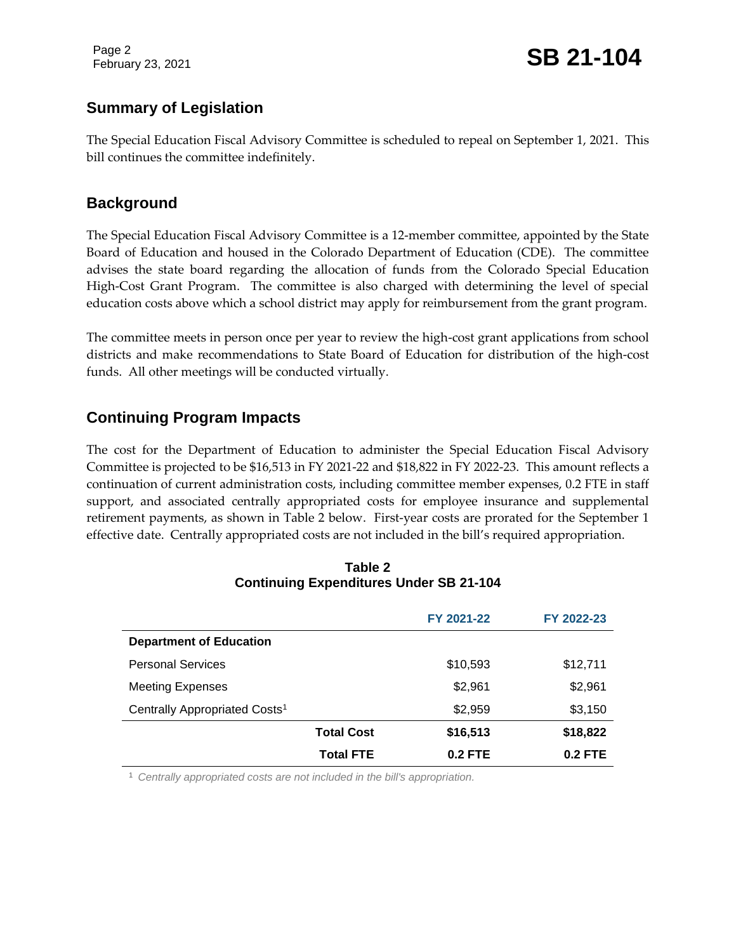Page 2

February 23, 2021 **SB 21-104** 

# **Summary of Legislation**

The Special Education Fiscal Advisory Committee is scheduled to repeal on September 1, 2021. This bill continues the committee indefinitely.

## **Background**

The Special Education Fiscal Advisory Committee is a 12-member committee, appointed by the State Board of Education and housed in the Colorado Department of Education (CDE). The committee advises the state board regarding the allocation of funds from the Colorado Special Education High-Cost Grant Program. The committee is also charged with determining the level of special education costs above which a school district may apply for reimbursement from the grant program.

The committee meets in person once per year to review the high-cost grant applications from school districts and make recommendations to State Board of Education for distribution of the high-cost funds. All other meetings will be conducted virtually.

# **Continuing Program Impacts**

The cost for the Department of Education to administer the Special Education Fiscal Advisory Committee is projected to be \$16,513 in FY 2021-22 and \$18,822 in FY 2022-23. This amount reflects a continuation of current administration costs, including committee member expenses, 0.2 FTE in staff support, and associated centrally appropriated costs for employee insurance and supplemental retirement payments, as shown in Table 2 below. First-year costs are prorated for the September 1 effective date. Centrally appropriated costs are not included in the bill's required appropriation.

| Continuing Experimentes Under 3D Z I-104  |            |            |  |  |
|-------------------------------------------|------------|------------|--|--|
|                                           | FY 2021-22 | FY 2022-23 |  |  |
| <b>Department of Education</b>            |            |            |  |  |
| <b>Personal Services</b>                  | \$10,593   | \$12,711   |  |  |
| <b>Meeting Expenses</b>                   | \$2,961    | \$2,961    |  |  |
| Centrally Appropriated Costs <sup>1</sup> | \$2,959    | \$3,150    |  |  |
|                                           |            |            |  |  |

**Total Cost \$16,513 \$18,822 Total FTE 0.2 FTE 0.2 FTE**

#### **Table 2 Continuing Expenditures Under SB 21-104**

<sup>1</sup> *Centrally appropriated costs are not included in the bill's appropriation.*